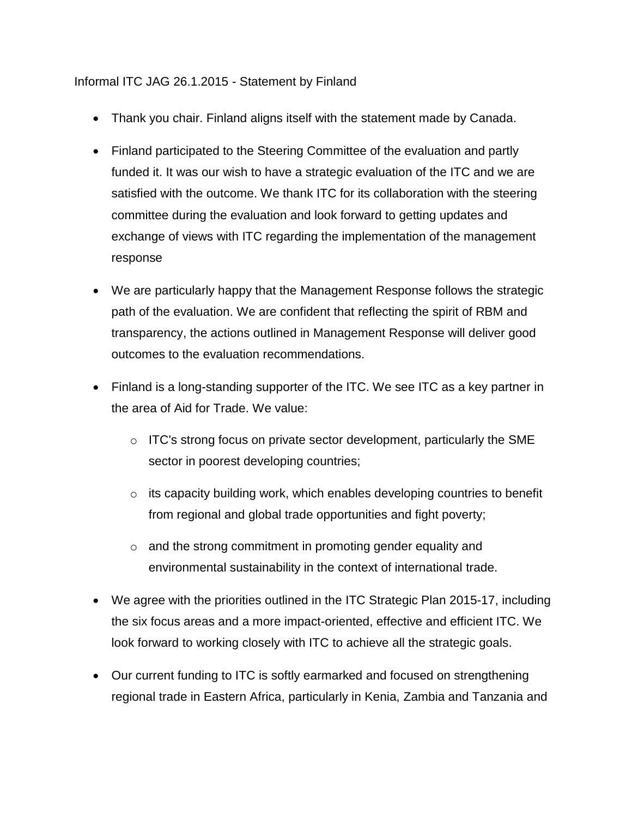## Informal ITC JAG 26.1.2015 - Statement by Finland

- Thank you chair. Finland aligns itself with the statement made by Canada.
- Finland participated to the Steering Committee of the evaluation and partly funded it. It was our wish to have a strategic evaluation of the ITC and we are satisfied with the outcome. We thank ITC for its collaboration with the steering committee during the evaluation and look forward to getting updates and exchange of views with ITC regarding the implementation of the management response
- We are particularly happy that the Management Response follows the strategic path of the evaluation. We are confident that reflecting the spirit of RBM and transparency, the actions outlined in Management Response will deliver good outcomes to the evaluation recommendations.
- Finland is a long-standing supporter of the ITC. We see ITC as a key partner in the area of Aid for Trade. We value:
	- $\circ$  ITC's strong focus on private sector development, particularly the SME sector in poorest developing countries;
	- o its capacity building work, which enables developing countries to benefit from regional and global trade opportunities and fight poverty;
	- o and the strong commitment in promoting gender equality and environmental sustainability in the context of international trade.
- We agree with the priorities outlined in the ITC Strategic Plan 2015-17, including the six focus areas and a more impact-oriented, effective and efficient ITC. We look forward to working closely with ITC to achieve all the strategic goals.
- Our current funding to ITC is softly earmarked and focused on strengthening regional trade in Eastern Africa, particularly in Kenia, Zambia and Tanzania and